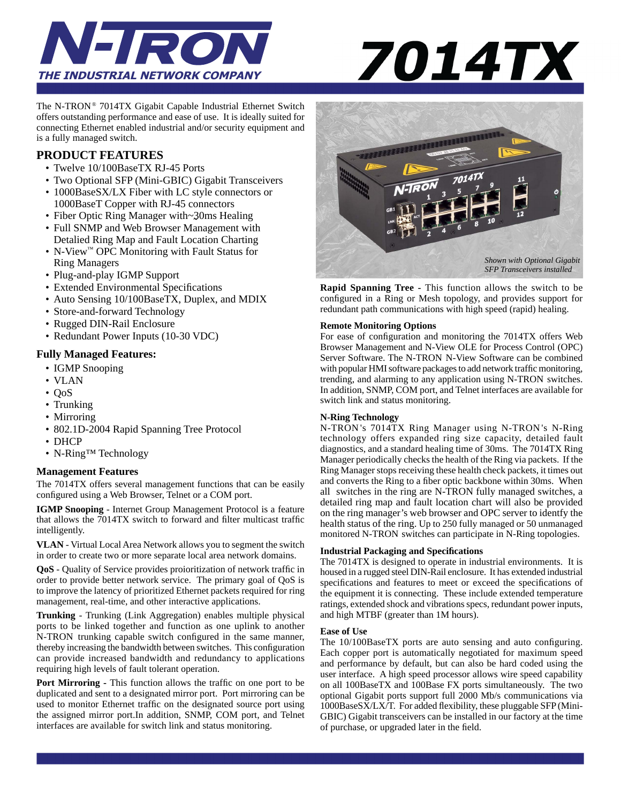



The N-TRON<sup>®</sup> 7014TX Gigabit Capable Industrial Ethernet Switch offers outstanding performance and ease of use. It is ideally suited for connecting Ethernet enabled industrial and/or security equipment and is a fully managed switch.

## **PRODUCT FEATURES**

- Twelve 10/100BaseTX RJ-45 Ports
- Two Optional SFP (Mini-GBIC) Gigabit Transceivers
- 1000BaseSX/LX Fiber with LC style connectors or 1000BaseT Copper with RJ-45 connectors
- Fiber Optic Ring Manager with~30ms Healing
- Froct Optic King Manager with Sonis Freamig<br>• Full SNMP and Web Browser Management with Detalied Ring Map and Fault Location Charting
	- N-View™ OPC Monitoring with Fault Status for Ring Managers
	- Plug-and-play IGMP Support
	- Extended Environmental Specifications
	- Auto Sensing 10/100BaseTX, Duplex, and MDIX
	- Store-and-forward Technology
	- Rugged DIN-Rail Enclosure
	- Redundant Power Inputs (10-30 VDC)

#### **Fully Managed Features:**

- IGMP Snooping
- VLAN
- QoS
- Trunking
- Mirroring
- 802.1D-2004 Rapid Spanning Tree Protocol
- DHCP
- N-Ring™ Technology

#### **Management Features**

The 7014TX offers several management functions that can be easily configured using a Web Browser, Telnet or a COM port.

**IGMP Snooping** - Internet Group Management Protocol is a feature that allows the 7014TX switch to forward and filter multicast traffic intelligently.

**VLAN** - Virtual Local Area Network allows you to segment the switch in order to create two or more separate local area network domains.

QoS - Quality of Service provides proioritization of network traffic in order to provide better network service. The primary goal of QoS is to improve the latency of prioritized Ethernet packets required for ring management, real-time, and other interactive applications.

**Trunking** - Trunking (Link Aggregation) enables multiple physical ports to be linked together and function as one uplink to another N-TRON trunking capable switch configured in the same manner, thereby increasing the bandwidth between switches. This configuration can provide increased bandwidth and redundancy to applications requiring high levels of fault tolerant operation.

**Port Mirroring - This function allows the traffic on one port to be** duplicated and sent to a designated mirror port. Port mirroring can be used to monitor Ethernet traffic on the designated source port using the assigned mirror port.In addition, SNMP, COM port, and Telnet interfaces are available for switch link and status monitoring.



**Rapid Spanning Tree -** This function allows the switch to be configured in a Ring or Mesh topology, and provides support for redundant path communications with high speed (rapid) healing.

#### **Remote Monitoring Options**

For ease of configuration and monitoring the 7014TX offers Web Browser Management and N-View OLE for Process Control (OPC) Server Software. The N-TRON N-View Software can be combined with popular HMI software packages to add network traffic monitoring, trending, and alarming to any application using N-TRON switches. In addition, SNMP, COM port, and Telnet interfaces are available for switch link and status monitoring.

#### **N-Ring Technology**

N-TRON 's 7014TX Ring Manager using N-TRON 's N-Ring technology offers expanded ring size capacity, detailed fault diagnostics, and a standard healing time of 30ms. The 7014TX Ring Manager periodically checks the health of the Ring via packets. If the Ring Manager stops receiving these health check packets, it times out and converts the Ring to a fiber optic backbone within 30ms. When all switches in the ring are N-TRON fully managed switches, a detailed ring map and fault location chart will also be provided on the ring manager's web browser and OPC server to identfy the health status of the ring. Up to 250 fully managed or 50 unmanaged monitored N-TRON switches can participate in N-Ring topologies.

#### **Industrial Packaging and Specifi cations**

The 7014TX is designed to operate in industrial environments. It is housed in a rugged steel DIN-Rail enclosure. It has extended industrial specifications and features to meet or exceed the specifications of the equipment it is connecting. These include extended temperature ratings, extended shock and vibrations specs, redundant power inputs, and high MTBF (greater than 1M hours).

#### **Ease of Use**

The  $10/100B$ aseTX ports are auto sensing and auto configuring. Each copper port is automatically negotiated for maximum speed and performance by default, but can also be hard coded using the user interface. A high speed processor allows wire speed capability on all 100BaseTX and 100Base FX ports simultaneously. The two optional Gigabit ports support full 2000 Mb/s communications via 1000BaseSX/LX/T. For added flexibility, these pluggable SFP (Mini-GBIC) Gigabit transceivers can be installed in our factory at the time of purchase, or upgraded later in the field.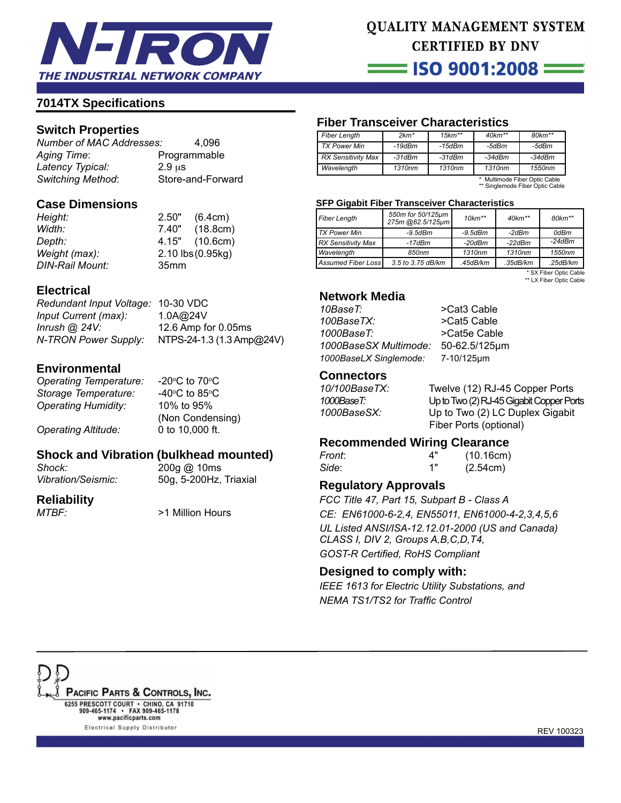

# **QUALITY MANAGEMENT SYSTEM CERTIFIED BY DNV**

 $=$  ISO 9001:2008  $=$ 

# **7014TX Specifi cations**

# **Switch Properties**

*Number of MAC Addresses:* 4,096 *Aging Time*: Programmable *Latency Typical:* 2.9 μs

Store-and-Forward

## **Case Dimensions**

*DIN-Rail Mount:* 35mm

*Height:* 2.50" (6.4cm) *Width:* 7.40" (18.8cm) *Depth:* 4.15" (10.6cm) *Weight (max):* 2.10 lbs (0.95kg)

# **Electrical**

*Redundant Input Voltage:* 10-30 VDC *Input Current (max):* 1.0A@24V *Inrush @ 24V:* 12.6 Amp for 0.05ms *N-TRON Power Supply:* NTPS-24-1.3 (1.3 Amp@24V)

# **Environmental**

**Operating Temperature: Storage Temperature:** *Operating Humidity:* 10% to 95%

C to 70 $^{\circ}$ C C to 85 $\rm ^{o}$ C  $\,$  (Non Condensing) *Operating Altitude:* 0 to 10,000 ft.

# **Shock and Vibration (bulkhead mounted)**

*Shock:* 200g @ 10ms

*Vibration/Seismic:* 50g, 5-200Hz, Triaxial

## **Reliability**

*MTBF:* >1 Million Hours

# **Fiber Transceiver Characteristics**

| <b>Fiber Length</b>       | $2km*$ | $15km**$ | $40km**$ | $80 km**$ |
|---------------------------|--------|----------|----------|-----------|
| <b>TX Power Min</b>       | -19dBm | $-15dBm$ | -5dBm    | -5dBm     |
| <b>RX Sensitivity Max</b> | -31dBm | $-31dBm$ | $-34dBm$ | -34dBm    |
| Wavelength                | 1310nm | 1310nm   | 1310nm   | 1550nm    |

\* Multimode Fiber Optic Cable \*\* Singlemode Fiber Optic Cable

#### **SFP Gigabit Fiber Transceiver Characteristics**

| <b>Fiber Length</b>       | 550m for 50/125µm<br>275m @62.5/125µm | $10km**$      | $40km**$ | 80km**   |
|---------------------------|---------------------------------------|---------------|----------|----------|
| <b>TX Power Min</b>       | $-9.5$ d $Bm$                         | $-9.5$ d $Bm$ | -2dBm    | 0dBm     |
| <b>RX Sensitivity Max</b> | -17dBm                                | $-20$ d $Bm$  | $-22dBm$ | $-24dBm$ |
| Wavelength                | 850nm                                 | 1310nm        | 1310nm   | 1550nm   |
| Assumed Fiber Loss        | 3.5 to 3.75 dB/km                     | .45dB/km      | .35dB/km | .25dB/km |

 \* SX Fiber Optic Cable \*\* LX Fiber Optic Cable

## **Network Media**

| 10BaseT:               | >Cat3 Cable   |
|------------------------|---------------|
| 100BaseTX:             | >Cat5 Cable   |
| 1000BaseT:             | >Cat5e Cable  |
| 1000BaseSX Multimode:  | 50-62.5/125µm |
| 1000BaseLX Singlemode: | 7-10/125um    |
|                        |               |

## **Connectors**

| 10/100BaseTX: | Twelve (12) RJ-45 Copper Ports           |
|---------------|------------------------------------------|
| 1000BaseT:    | Up to Two (2) RJ-45 Gigabit Copper Ports |
| 1000BaseSX:   | Up to Two (2) LC Duplex Gigabit          |
|               | Fiber Ports (optional)                   |

## **Recommended Wiring Clearance**

| Front: | 4"  | (10.16cm) |
|--------|-----|-----------|
| Side:  | 4 " | (2.54cm)  |

## **Regulatory Approvals**

*FCC Title 47, Part 15, Subpart B - Class A CE: EN61000-6-2,4, EN55011, EN61000-4-2,3,4,5,6 UL Listed ANSI/ISA-12.12.01-2000 (US and Canada) CLASS I, DIV 2, Groups A,B,C,D,T4,*  **GOST-R Certified, RoHS Compliant** 

## **Designed to comply with:**

*IEEE 1613 for Electric Utility Substations, and NEMA TS1/TS2 for Traffic Control*